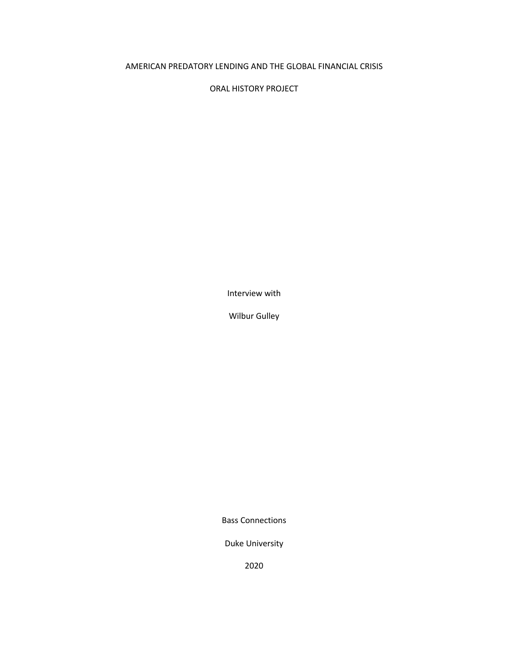## AMERICAN PREDATORY LENDING AND THE GLOBAL FINANCIAL CRISIS

ORAL HISTORY PROJECT

Interview with

Wilbur Gulley

Bass Connections

Duke University

2020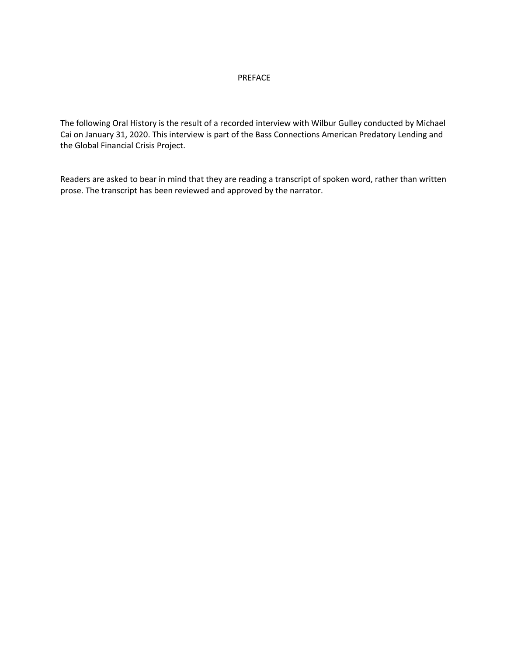## PREFACE

The following Oral History is the result of a recorded interview with Wilbur Gulley conducted by Michael Cai on January 31, 2020. This interview is part of the Bass Connections American Predatory Lending and the Global Financial Crisis Project.

Readers are asked to bear in mind that they are reading a transcript of spoken word, rather than written prose. The transcript has been reviewed and approved by the narrator.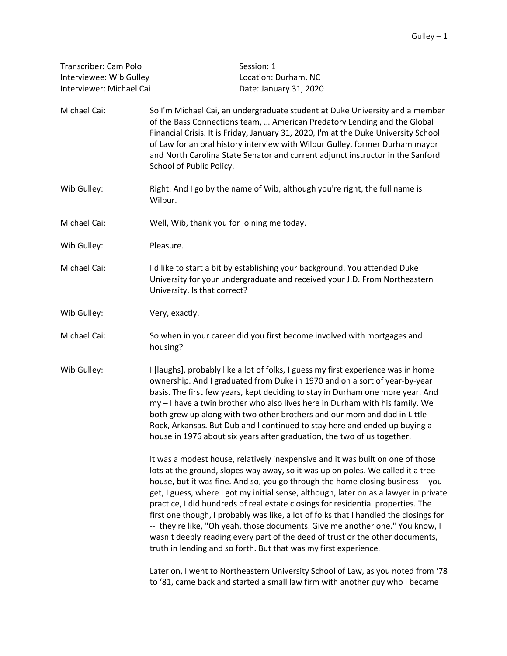| Transcriber: Cam Polo    | Session: 1             |
|--------------------------|------------------------|
| Interviewee: Wib Gulley  | Location: Durham. NC   |
| Interviewer: Michael Cai | Date: January 31, 2020 |

- Michael Cai: So I'm Michael Cai, an undergraduate student at Duke University and a member of the Bass Connections team, … American Predatory Lending and the Global Financial Crisis. It is Friday, January 31, 2020, I'm at the Duke University School of Law for an oral history interview with Wilbur Gulley, former Durham mayor and North Carolina State Senator and current adjunct instructor in the Sanford School of Public Policy.
- Wib Gulley: Right. And I go by the name of Wib, although you're right, the full name is Wilbur.
- Michael Cai: Well, Wib, thank you for joining me today.
- Wib Gulley: Pleasure.
- Michael Cai: I'd like to start a bit by establishing your background. You attended Duke University for your undergraduate and received your J.D. From Northeastern University. Is that correct?
- Wib Gulley: Very, exactly.
- Michael Cai: So when in your career did you first become involved with mortgages and housing?
- Wib Gulley: I [laughs], probably like a lot of folks, I guess my first experience was in home ownership. And I graduated from Duke in 1970 and on a sort of year-by-year basis. The first few years, kept deciding to stay in Durham one more year. And my – I have a twin brother who also lives here in Durham with his family. We both grew up along with two other brothers and our mom and dad in Little Rock, Arkansas. But Dub and I continued to stay here and ended up buying a house in 1976 about six years after graduation, the two of us together.

It was a modest house, relatively inexpensive and it was built on one of those lots at the ground, slopes way away, so it was up on poles. We called it a tree house, but it was fine. And so, you go through the home closing business -- you get, I guess, where I got my initial sense, although, later on as a lawyer in private practice, I did hundreds of real estate closings for residential properties. The first one though, I probably was like, a lot of folks that I handled the closings for -- they're like, "Oh yeah, those documents. Give me another one." You know, I wasn't deeply reading every part of the deed of trust or the other documents, truth in lending and so forth. But that was my first experience.

Later on, I went to Northeastern University School of Law, as you noted from '78 to '81, came back and started a small law firm with another guy who I became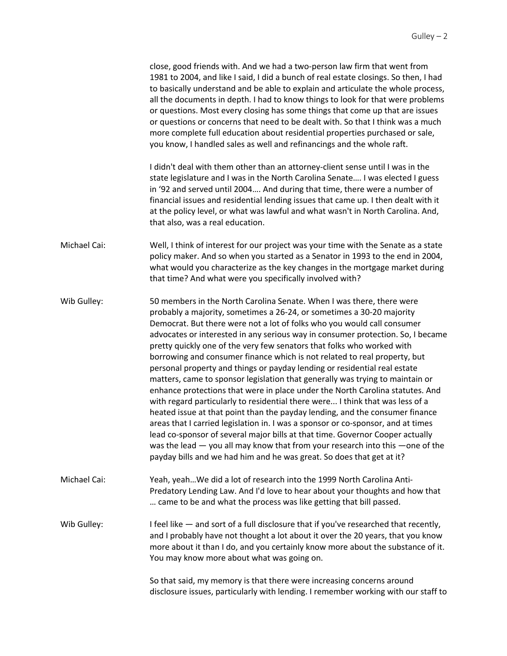|              | close, good friends with. And we had a two-person law firm that went from<br>1981 to 2004, and like I said, I did a bunch of real estate closings. So then, I had<br>to basically understand and be able to explain and articulate the whole process,<br>all the documents in depth. I had to know things to look for that were problems<br>or questions. Most every closing has some things that come up that are issues<br>or questions or concerns that need to be dealt with. So that I think was a much<br>more complete full education about residential properties purchased or sale,<br>you know, I handled sales as well and refinancings and the whole raft.                                                                                                                                                                                                                                                                                                                                                                                                                                                                                                                                                  |
|--------------|-------------------------------------------------------------------------------------------------------------------------------------------------------------------------------------------------------------------------------------------------------------------------------------------------------------------------------------------------------------------------------------------------------------------------------------------------------------------------------------------------------------------------------------------------------------------------------------------------------------------------------------------------------------------------------------------------------------------------------------------------------------------------------------------------------------------------------------------------------------------------------------------------------------------------------------------------------------------------------------------------------------------------------------------------------------------------------------------------------------------------------------------------------------------------------------------------------------------------|
|              | I didn't deal with them other than an attorney-client sense until I was in the<br>state legislature and I was in the North Carolina Senate I was elected I guess<br>in '92 and served until 2004 And during that time, there were a number of<br>financial issues and residential lending issues that came up. I then dealt with it<br>at the policy level, or what was lawful and what wasn't in North Carolina. And,<br>that also, was a real education.                                                                                                                                                                                                                                                                                                                                                                                                                                                                                                                                                                                                                                                                                                                                                              |
| Michael Cai: | Well, I think of interest for our project was your time with the Senate as a state<br>policy maker. And so when you started as a Senator in 1993 to the end in 2004,<br>what would you characterize as the key changes in the mortgage market during<br>that time? And what were you specifically involved with?                                                                                                                                                                                                                                                                                                                                                                                                                                                                                                                                                                                                                                                                                                                                                                                                                                                                                                        |
| Wib Gulley:  | 50 members in the North Carolina Senate. When I was there, there were<br>probably a majority, sometimes a 26-24, or sometimes a 30-20 majority<br>Democrat. But there were not a lot of folks who you would call consumer<br>advocates or interested in any serious way in consumer protection. So, I became<br>pretty quickly one of the very few senators that folks who worked with<br>borrowing and consumer finance which is not related to real property, but<br>personal property and things or payday lending or residential real estate<br>matters, came to sponsor legislation that generally was trying to maintain or<br>enhance protections that were in place under the North Carolina statutes. And<br>with regard particularly to residential there were I think that was less of a<br>heated issue at that point than the payday lending, and the consumer finance<br>areas that I carried legislation in. I was a sponsor or co-sponsor, and at times<br>lead co-sponsor of several major bills at that time. Governor Cooper actually<br>was the lead $-$ you all may know that from your research into this $-$ one of the<br>payday bills and we had him and he was great. So does that get at it? |
| Michael Cai: | Yeah, yeah We did a lot of research into the 1999 North Carolina Anti-<br>Predatory Lending Law. And I'd love to hear about your thoughts and how that<br>came to be and what the process was like getting that bill passed.                                                                                                                                                                                                                                                                                                                                                                                                                                                                                                                                                                                                                                                                                                                                                                                                                                                                                                                                                                                            |
| Wib Gulley:  | I feel like - and sort of a full disclosure that if you've researched that recently,<br>and I probably have not thought a lot about it over the 20 years, that you know<br>more about it than I do, and you certainly know more about the substance of it.<br>You may know more about what was going on.                                                                                                                                                                                                                                                                                                                                                                                                                                                                                                                                                                                                                                                                                                                                                                                                                                                                                                                |

So that said, my memory is that there were increasing concerns around disclosure issues, particularly with lending. I remember working with our staff to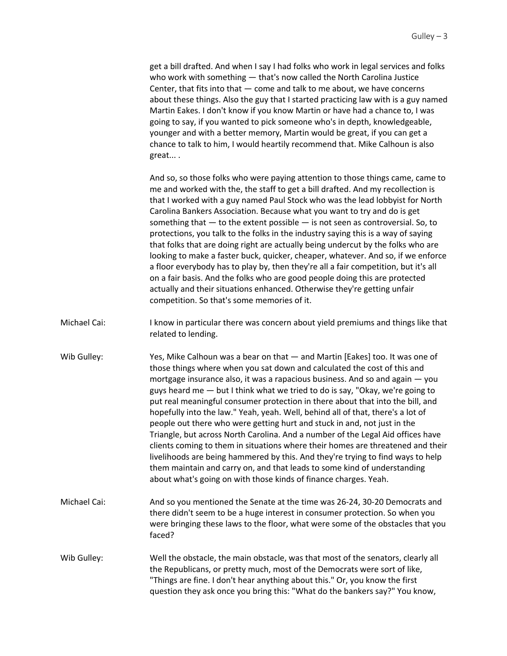get a bill drafted. And when I say I had folks who work in legal services and folks who work with something — that's now called the North Carolina Justice Center, that fits into that — come and talk to me about, we have concerns about these things. Also the guy that I started practicing law with is a guy named Martin Eakes. I don't know if you know Martin or have had a chance to, I was going to say, if you wanted to pick someone who's in depth, knowledgeable, younger and with a better memory, Martin would be great, if you can get a chance to talk to him, I would heartily recommend that. Mike Calhoun is also great... .

And so, so those folks who were paying attention to those things came, came to me and worked with the, the staff to get a bill drafted. And my recollection is that I worked with a guy named Paul Stock who was the lead lobbyist for North Carolina Bankers Association. Because what you want to try and do is get something that — to the extent possible — is not seen as controversial. So, to protections, you talk to the folks in the industry saying this is a way of saying that folks that are doing right are actually being undercut by the folks who are looking to make a faster buck, quicker, cheaper, whatever. And so, if we enforce a floor everybody has to play by, then they're all a fair competition, but it's all on a fair basis. And the folks who are good people doing this are protected actually and their situations enhanced. Otherwise they're getting unfair competition. So that's some memories of it.

- Michael Cai: I know in particular there was concern about yield premiums and things like that related to lending.
- Wib Gulley: Yes, Mike Calhoun was a bear on that and Martin [Eakes] too. It was one of those things where when you sat down and calculated the cost of this and mortgage insurance also, it was a rapacious business. And so and again — you guys heard me — but I think what we tried to do is say, "Okay, we're going to put real meaningful consumer protection in there about that into the bill, and hopefully into the law." Yeah, yeah. Well, behind all of that, there's a lot of people out there who were getting hurt and stuck in and, not just in the Triangle, but across North Carolina. And a number of the Legal Aid offices have clients coming to them in situations where their homes are threatened and their livelihoods are being hammered by this. And they're trying to find ways to help them maintain and carry on, and that leads to some kind of understanding about what's going on with those kinds of finance charges. Yeah.
- Michael Cai: And so you mentioned the Senate at the time was 26-24, 30-20 Democrats and there didn't seem to be a huge interest in consumer protection. So when you were bringing these laws to the floor, what were some of the obstacles that you faced?
- Wib Gulley: Well the obstacle, the main obstacle, was that most of the senators, clearly all the Republicans, or pretty much, most of the Democrats were sort of like, "Things are fine. I don't hear anything about this." Or, you know the first question they ask once you bring this: "What do the bankers say?" You know,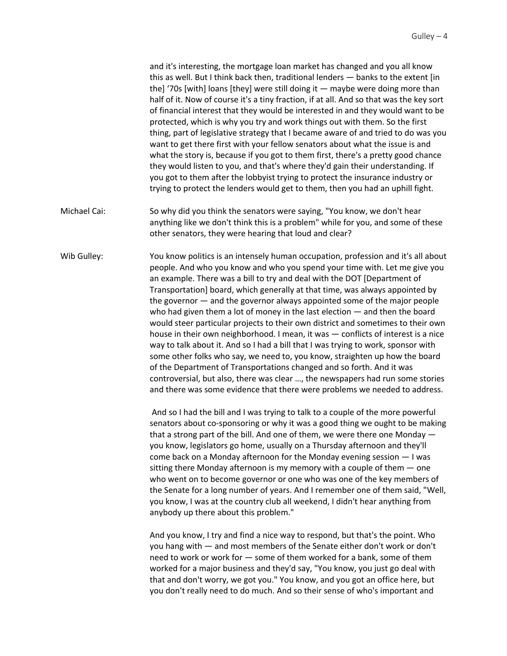and it's interesting, the mortgage loan market has changed and you all know this as well. But I think back then, traditional lenders — banks to the extent [in the] '70s [with] loans [they] were still doing it — maybe were doing more than half of it. Now of course it's a tiny fraction, if at all. And so that was the key sort of financial interest that they would be interested in and they would want to be protected, which is why you try and work things out with them. So the first thing, part of legislative strategy that I became aware of and tried to do was you want to get there first with your fellow senators about what the issue is and what the story is, because if you got to them first, there's a pretty good chance they would listen to you, and that's where they'd gain their understanding. If you got to them after the lobbyist trying to protect the insurance industry or trying to protect the lenders would get to them, then you had an uphill fight.

- Michael Cai: So why did you think the senators were saying, "You know, we don't hear anything like we don't think this is a problem" while for you, and some of these other senators, they were hearing that loud and clear?
- Wib Gulley: You know politics is an intensely human occupation, profession and it's all about people. And who you know and who you spend your time with. Let me give you an example. There was a bill to try and deal with the DOT [Department of Transportation] board, which generally at that time, was always appointed by the governor — and the governor always appointed some of the major people who had given them a lot of money in the last election — and then the board would steer particular projects to their own district and sometimes to their own house in their own neighborhood. I mean, it was — conflicts of interest is a nice way to talk about it. And so I had a bill that I was trying to work, sponsor with some other folks who say, we need to, you know, straighten up how the board of the Department of Transportations changed and so forth. And it was controversial, but also, there was clear …, the newspapers had run some stories and there was some evidence that there were problems we needed to address.

And so I had the bill and I was trying to talk to a couple of the more powerful senators about co-sponsoring or why it was a good thing we ought to be making that a strong part of the bill. And one of them, we were there one Monday you know, legislators go home, usually on a Thursday afternoon and they'll come back on a Monday afternoon for the Monday evening session — I was sitting there Monday afternoon is my memory with a couple of them — one who went on to become governor or one who was one of the key members of the Senate for a long number of years. And I remember one of them said, "Well, you know, I was at the country club all weekend, I didn't hear anything from anybody up there about this problem."

And you know, I try and find a nice way to respond, but that's the point. Who you hang with — and most members of the Senate either don't work or don't need to work or work for — some of them worked for a bank, some of them worked for a major business and they'd say, "You know, you just go deal with that and don't worry, we got you." You know, and you got an office here, but you don't really need to do much. And so their sense of who's important and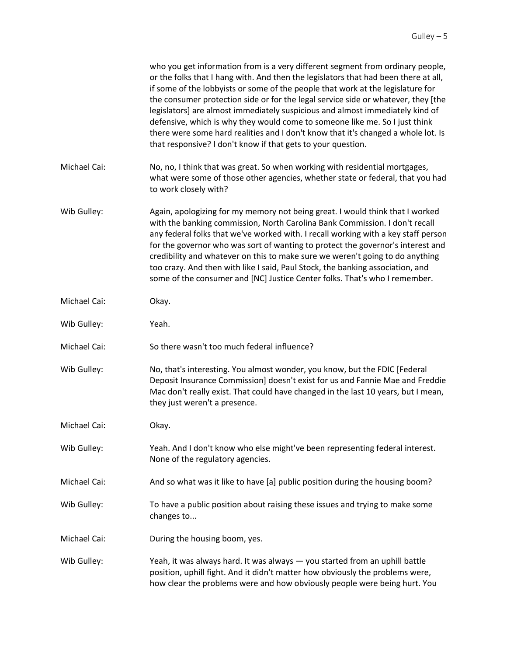|              | who you get information from is a very different segment from ordinary people,<br>or the folks that I hang with. And then the legislators that had been there at all,<br>if some of the lobbyists or some of the people that work at the legislature for<br>the consumer protection side or for the legal service side or whatever, they [the<br>legislators] are almost immediately suspicious and almost immediately kind of<br>defensive, which is why they would come to someone like me. So I just think<br>there were some hard realities and I don't know that it's changed a whole lot. Is<br>that responsive? I don't know if that gets to your question. |
|--------------|--------------------------------------------------------------------------------------------------------------------------------------------------------------------------------------------------------------------------------------------------------------------------------------------------------------------------------------------------------------------------------------------------------------------------------------------------------------------------------------------------------------------------------------------------------------------------------------------------------------------------------------------------------------------|
| Michael Cai: | No, no, I think that was great. So when working with residential mortgages,<br>what were some of those other agencies, whether state or federal, that you had<br>to work closely with?                                                                                                                                                                                                                                                                                                                                                                                                                                                                             |
| Wib Gulley:  | Again, apologizing for my memory not being great. I would think that I worked<br>with the banking commission, North Carolina Bank Commission. I don't recall<br>any federal folks that we've worked with. I recall working with a key staff person<br>for the governor who was sort of wanting to protect the governor's interest and<br>credibility and whatever on this to make sure we weren't going to do anything<br>too crazy. And then with like I said, Paul Stock, the banking association, and<br>some of the consumer and [NC] Justice Center folks. That's who I remember.                                                                             |
| Michael Cai: | Okay.                                                                                                                                                                                                                                                                                                                                                                                                                                                                                                                                                                                                                                                              |
| Wib Gulley:  | Yeah.                                                                                                                                                                                                                                                                                                                                                                                                                                                                                                                                                                                                                                                              |
| Michael Cai: | So there wasn't too much federal influence?                                                                                                                                                                                                                                                                                                                                                                                                                                                                                                                                                                                                                        |
| Wib Gulley:  | No, that's interesting. You almost wonder, you know, but the FDIC [Federal<br>Deposit Insurance Commission] doesn't exist for us and Fannie Mae and Freddie<br>Mac don't really exist. That could have changed in the last 10 years, but I mean,<br>they just weren't a presence.                                                                                                                                                                                                                                                                                                                                                                                  |
| Michael Cai: | Okay.                                                                                                                                                                                                                                                                                                                                                                                                                                                                                                                                                                                                                                                              |
| Wib Gulley:  | Yeah. And I don't know who else might've been representing federal interest.<br>None of the regulatory agencies.                                                                                                                                                                                                                                                                                                                                                                                                                                                                                                                                                   |
| Michael Cai: | And so what was it like to have [a] public position during the housing boom?                                                                                                                                                                                                                                                                                                                                                                                                                                                                                                                                                                                       |
| Wib Gulley:  | To have a public position about raising these issues and trying to make some<br>changes to                                                                                                                                                                                                                                                                                                                                                                                                                                                                                                                                                                         |
| Michael Cai: | During the housing boom, yes.                                                                                                                                                                                                                                                                                                                                                                                                                                                                                                                                                                                                                                      |
| Wib Gulley:  | Yeah, it was always hard. It was always - you started from an uphill battle<br>position, uphill fight. And it didn't matter how obviously the problems were,<br>how clear the problems were and how obviously people were being hurt. You                                                                                                                                                                                                                                                                                                                                                                                                                          |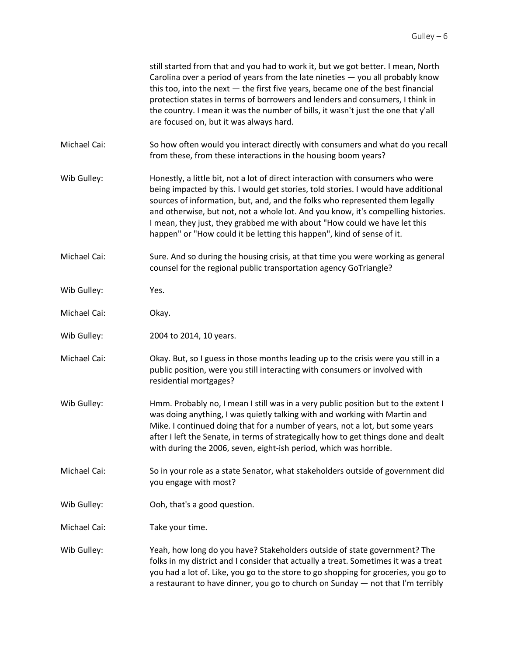|              | still started from that and you had to work it, but we got better. I mean, North<br>Carolina over a period of years from the late nineties $-$ you all probably know<br>this too, into the next $-$ the first five years, became one of the best financial<br>protection states in terms of borrowers and lenders and consumers, I think in<br>the country. I mean it was the number of bills, it wasn't just the one that y'all<br>are focused on, but it was always hard.                       |
|--------------|---------------------------------------------------------------------------------------------------------------------------------------------------------------------------------------------------------------------------------------------------------------------------------------------------------------------------------------------------------------------------------------------------------------------------------------------------------------------------------------------------|
| Michael Cai: | So how often would you interact directly with consumers and what do you recall<br>from these, from these interactions in the housing boom years?                                                                                                                                                                                                                                                                                                                                                  |
| Wib Gulley:  | Honestly, a little bit, not a lot of direct interaction with consumers who were<br>being impacted by this. I would get stories, told stories. I would have additional<br>sources of information, but, and, and the folks who represented them legally<br>and otherwise, but not, not a whole lot. And you know, it's compelling histories.<br>I mean, they just, they grabbed me with about "How could we have let this<br>happen" or "How could it be letting this happen", kind of sense of it. |
| Michael Cai: | Sure. And so during the housing crisis, at that time you were working as general<br>counsel for the regional public transportation agency GoTriangle?                                                                                                                                                                                                                                                                                                                                             |
| Wib Gulley:  | Yes.                                                                                                                                                                                                                                                                                                                                                                                                                                                                                              |
| Michael Cai: | Okay.                                                                                                                                                                                                                                                                                                                                                                                                                                                                                             |
| Wib Gulley:  | 2004 to 2014, 10 years.                                                                                                                                                                                                                                                                                                                                                                                                                                                                           |
| Michael Cai: | Okay. But, so I guess in those months leading up to the crisis were you still in a<br>public position, were you still interacting with consumers or involved with<br>residential mortgages?                                                                                                                                                                                                                                                                                                       |
| Wib Gulley:  | Hmm. Probably no, I mean I still was in a very public position but to the extent I<br>was doing anything, I was quietly talking with and working with Martin and<br>Mike. I continued doing that for a number of years, not a lot, but some years<br>after I left the Senate, in terms of strategically how to get things done and dealt<br>with during the 2006, seven, eight-ish period, which was horrible.                                                                                    |
| Michael Cai: | So in your role as a state Senator, what stakeholders outside of government did<br>you engage with most?                                                                                                                                                                                                                                                                                                                                                                                          |
| Wib Gulley:  | Ooh, that's a good question.                                                                                                                                                                                                                                                                                                                                                                                                                                                                      |
| Michael Cai: | Take your time.                                                                                                                                                                                                                                                                                                                                                                                                                                                                                   |
| Wib Gulley:  | Yeah, how long do you have? Stakeholders outside of state government? The<br>folks in my district and I consider that actually a treat. Sometimes it was a treat<br>you had a lot of. Like, you go to the store to go shopping for groceries, you go to<br>a restaurant to have dinner, you go to church on Sunday - not that I'm terribly                                                                                                                                                        |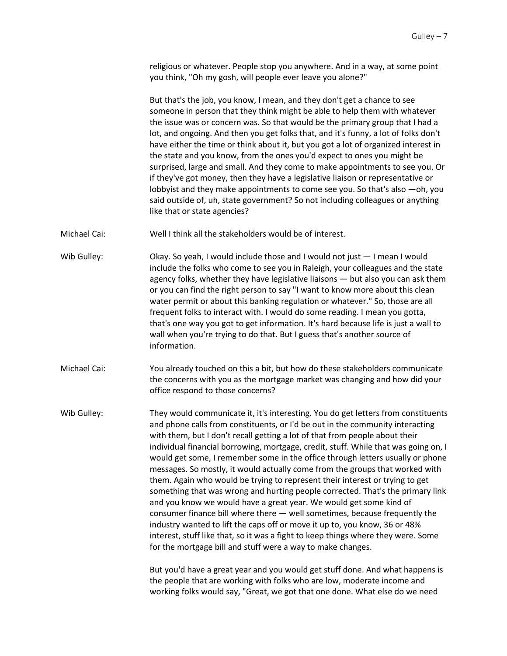religious or whatever. People stop you anywhere. And in a way, at some point you think, "Oh my gosh, will people ever leave you alone?"

But that's the job, you know, I mean, and they don't get a chance to see someone in person that they think might be able to help them with whatever the issue was or concern was. So that would be the primary group that I had a lot, and ongoing. And then you get folks that, and it's funny, a lot of folks don't have either the time or think about it, but you got a lot of organized interest in the state and you know, from the ones you'd expect to ones you might be surprised, large and small. And they come to make appointments to see you. Or if they've got money, then they have a legislative liaison or representative or lobbyist and they make appointments to come see you. So that's also —oh, you said outside of, uh, state government? So not including colleagues or anything like that or state agencies?

- Michael Cai: Well I think all the stakeholders would be of interest.
- Wib Gulley: Okay. So yeah, I would include those and I would not just  $-1$  mean I would include the folks who come to see you in Raleigh, your colleagues and the state agency folks, whether they have legislative liaisons — but also you can ask them or you can find the right person to say "I want to know more about this clean water permit or about this banking regulation or whatever." So, those are all frequent folks to interact with. I would do some reading. I mean you gotta, that's one way you got to get information. It's hard because life is just a wall to wall when you're trying to do that. But I guess that's another source of information.
- Michael Cai: You already touched on this a bit, but how do these stakeholders communicate the concerns with you as the mortgage market was changing and how did your office respond to those concerns?

Wib Gulley: They would communicate it, it's interesting. You do get letters from constituents and phone calls from constituents, or I'd be out in the community interacting with them, but I don't recall getting a lot of that from people about their individual financial borrowing, mortgage, credit, stuff. While that was going on, I would get some, I remember some in the office through letters usually or phone messages. So mostly, it would actually come from the groups that worked with them. Again who would be trying to represent their interest or trying to get something that was wrong and hurting people corrected. That's the primary link and you know we would have a great year. We would get some kind of consumer finance bill where there — well sometimes, because frequently the industry wanted to lift the caps off or move it up to, you know, 36 or 48% interest, stuff like that, so it was a fight to keep things where they were. Some for the mortgage bill and stuff were a way to make changes.

> But you'd have a great year and you would get stuff done. And what happens is the people that are working with folks who are low, moderate income and working folks would say, "Great, we got that one done. What else do we need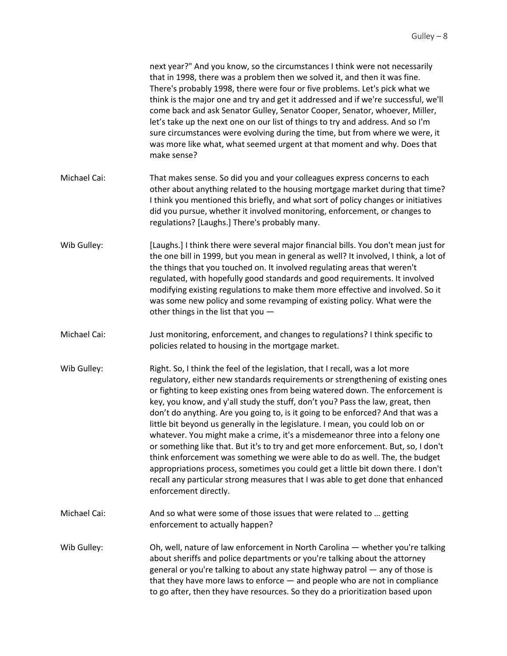|              | next year?" And you know, so the circumstances I think were not necessarily<br>that in 1998, there was a problem then we solved it, and then it was fine.<br>There's probably 1998, there were four or five problems. Let's pick what we<br>think is the major one and try and get it addressed and if we're successful, we'll<br>come back and ask Senator Gulley, Senator Cooper, Senator, whoever, Miller,<br>let's take up the next one on our list of things to try and address. And so I'm<br>sure circumstances were evolving during the time, but from where we were, it<br>was more like what, what seemed urgent at that moment and why. Does that<br>make sense?                                                                                                                                                                                                                                                                                   |
|--------------|---------------------------------------------------------------------------------------------------------------------------------------------------------------------------------------------------------------------------------------------------------------------------------------------------------------------------------------------------------------------------------------------------------------------------------------------------------------------------------------------------------------------------------------------------------------------------------------------------------------------------------------------------------------------------------------------------------------------------------------------------------------------------------------------------------------------------------------------------------------------------------------------------------------------------------------------------------------|
| Michael Cai: | That makes sense. So did you and your colleagues express concerns to each<br>other about anything related to the housing mortgage market during that time?<br>I think you mentioned this briefly, and what sort of policy changes or initiatives<br>did you pursue, whether it involved monitoring, enforcement, or changes to<br>regulations? [Laughs.] There's probably many.                                                                                                                                                                                                                                                                                                                                                                                                                                                                                                                                                                               |
| Wib Gulley:  | [Laughs.] I think there were several major financial bills. You don't mean just for<br>the one bill in 1999, but you mean in general as well? It involved, I think, a lot of<br>the things that you touched on. It involved regulating areas that weren't<br>regulated, with hopefully good standards and good requirements. It involved<br>modifying existing regulations to make them more effective and involved. So it<br>was some new policy and some revamping of existing policy. What were the<br>other things in the list that you -                                                                                                                                                                                                                                                                                                                                                                                                                 |
| Michael Cai: | Just monitoring, enforcement, and changes to regulations? I think specific to<br>policies related to housing in the mortgage market.                                                                                                                                                                                                                                                                                                                                                                                                                                                                                                                                                                                                                                                                                                                                                                                                                          |
| Wib Gulley:  | Right. So, I think the feel of the legislation, that I recall, was a lot more<br>regulatory, either new standards requirements or strengthening of existing ones<br>or fighting to keep existing ones from being watered down. The enforcement is<br>key, you know, and y'all study the stuff, don't you? Pass the law, great, then<br>don't do anything. Are you going to, is it going to be enforced? And that was a<br>little bit beyond us generally in the legislature. I mean, you could lob on or<br>whatever. You might make a crime, it's a misdemeanor three into a felony one<br>or something like that. But it's to try and get more enforcement. But, so, I don't<br>think enforcement was something we were able to do as well. The, the budget<br>appropriations process, sometimes you could get a little bit down there. I don't<br>recall any particular strong measures that I was able to get done that enhanced<br>enforcement directly. |
| Michael Cai: | And so what were some of those issues that were related to  getting<br>enforcement to actually happen?                                                                                                                                                                                                                                                                                                                                                                                                                                                                                                                                                                                                                                                                                                                                                                                                                                                        |
| Wib Gulley:  | Oh, well, nature of law enforcement in North Carolina - whether you're talking<br>about sheriffs and police departments or you're talking about the attorney<br>general or you're talking to about any state highway patrol - any of those is<br>that they have more laws to enforce $-$ and people who are not in compliance<br>to go after, then they have resources. So they do a prioritization based upon                                                                                                                                                                                                                                                                                                                                                                                                                                                                                                                                                |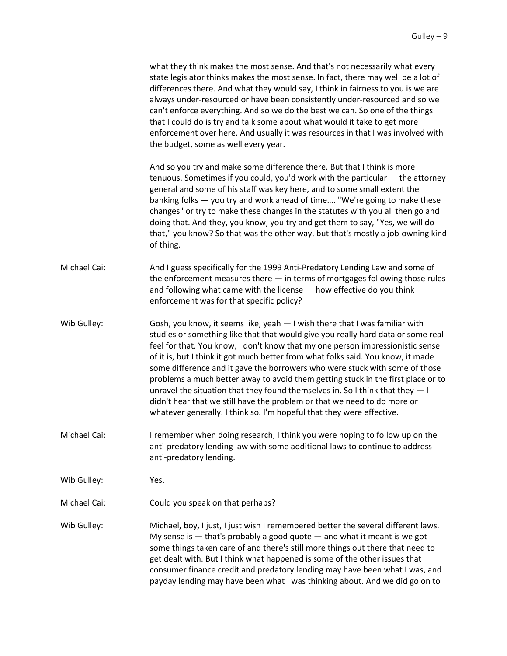|              | what they think makes the most sense. And that's not necessarily what every<br>state legislator thinks makes the most sense. In fact, there may well be a lot of<br>differences there. And what they would say, I think in fairness to you is we are<br>always under-resourced or have been consistently under-resourced and so we<br>can't enforce everything. And so we do the best we can. So one of the things<br>that I could do is try and talk some about what would it take to get more<br>enforcement over here. And usually it was resources in that I was involved with<br>the budget, some as well every year.                                                                                                                      |
|--------------|-------------------------------------------------------------------------------------------------------------------------------------------------------------------------------------------------------------------------------------------------------------------------------------------------------------------------------------------------------------------------------------------------------------------------------------------------------------------------------------------------------------------------------------------------------------------------------------------------------------------------------------------------------------------------------------------------------------------------------------------------|
|              | And so you try and make some difference there. But that I think is more<br>tenuous. Sometimes if you could, you'd work with the particular - the attorney<br>general and some of his staff was key here, and to some small extent the<br>banking folks - you try and work ahead of time "We're going to make these<br>changes" or try to make these changes in the statutes with you all then go and<br>doing that. And they, you know, you try and get them to say, "Yes, we will do<br>that," you know? So that was the other way, but that's mostly a job-owning kind<br>of thing.                                                                                                                                                           |
| Michael Cai: | And I guess specifically for the 1999 Anti-Predatory Lending Law and some of<br>the enforcement measures there $-$ in terms of mortgages following those rules<br>and following what came with the license - how effective do you think<br>enforcement was for that specific policy?                                                                                                                                                                                                                                                                                                                                                                                                                                                            |
| Wib Gulley:  | Gosh, you know, it seems like, yeah - I wish there that I was familiar with<br>studies or something like that that would give you really hard data or some real<br>feel for that. You know, I don't know that my one person impressionistic sense<br>of it is, but I think it got much better from what folks said. You know, it made<br>some difference and it gave the borrowers who were stuck with some of those<br>problems a much better away to avoid them getting stuck in the first place or to<br>unravel the situation that they found themselves in. So I think that they $-1$<br>didn't hear that we still have the problem or that we need to do more or<br>whatever generally. I think so. I'm hopeful that they were effective. |
| Michael Cai: | I remember when doing research, I think you were hoping to follow up on the<br>anti-predatory lending law with some additional laws to continue to address<br>anti-predatory lending.                                                                                                                                                                                                                                                                                                                                                                                                                                                                                                                                                           |
| Wib Gulley:  | Yes.                                                                                                                                                                                                                                                                                                                                                                                                                                                                                                                                                                                                                                                                                                                                            |
| Michael Cai: | Could you speak on that perhaps?                                                                                                                                                                                                                                                                                                                                                                                                                                                                                                                                                                                                                                                                                                                |
| Wib Gulley:  | Michael, boy, I just, I just wish I remembered better the several different laws.<br>My sense is $-$ that's probably a good quote $-$ and what it meant is we got<br>some things taken care of and there's still more things out there that need to<br>get dealt with. But I think what happened is some of the other issues that<br>consumer finance credit and predatory lending may have been what I was, and<br>payday lending may have been what I was thinking about. And we did go on to                                                                                                                                                                                                                                                 |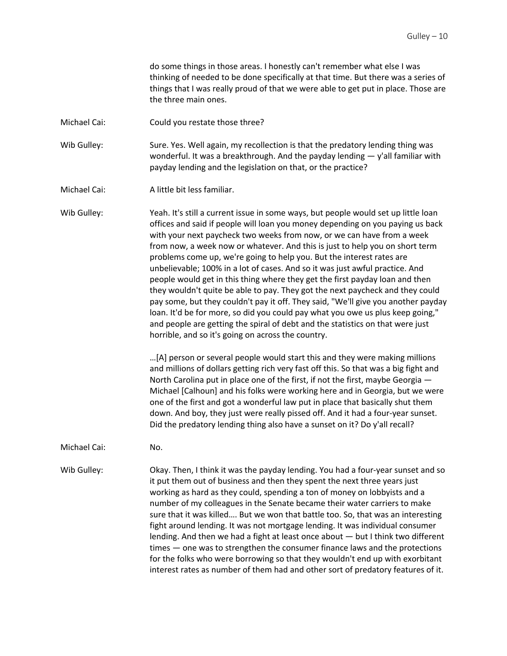do some things in those areas. I honestly can't remember what else I was thinking of needed to be done specifically at that time. But there was a series of things that I was really proud of that we were able to get put in place. Those are the three main ones.

Michael Cai: Could you restate those three?

Wib Gulley: Sure. Yes. Well again, my recollection is that the predatory lending thing was wonderful. It was a breakthrough. And the payday lending  $-$  y'all familiar with payday lending and the legislation on that, or the practice?

Michael Cai: A little bit less familiar.

Wib Gulley: Yeah. It's still a current issue in some ways, but people would set up little loan offices and said if people will loan you money depending on you paying us back with your next paycheck two weeks from now, or we can have from a week from now, a week now or whatever. And this is just to help you on short term problems come up, we're going to help you. But the interest rates are unbelievable; 100% in a lot of cases. And so it was just awful practice. And people would get in this thing where they get the first payday loan and then they wouldn't quite be able to pay. They got the next paycheck and they could pay some, but they couldn't pay it off. They said, "We'll give you another payday loan. It'd be for more, so did you could pay what you owe us plus keep going," and people are getting the spiral of debt and the statistics on that were just horrible, and so it's going on across the country.

> …[A] person or several people would start this and they were making millions and millions of dollars getting rich very fast off this. So that was a big fight and North Carolina put in place one of the first, if not the first, maybe Georgia — Michael [Calhoun] and his folks were working here and in Georgia, but we were one of the first and got a wonderful law put in place that basically shut them down. And boy, they just were really pissed off. And it had a four-year sunset. Did the predatory lending thing also have a sunset on it? Do y'all recall?

Michael Cai: No.

Wib Gulley: Okay. Then, I think it was the payday lending. You had a four-year sunset and so it put them out of business and then they spent the next three years just working as hard as they could, spending a ton of money on lobbyists and a number of my colleagues in the Senate became their water carriers to make sure that it was killed…. But we won that battle too. So, that was an interesting fight around lending. It was not mortgage lending. It was individual consumer lending. And then we had a fight at least once about — but I think two different times — one was to strengthen the consumer finance laws and the protections for the folks who were borrowing so that they wouldn't end up with exorbitant interest rates as number of them had and other sort of predatory features of it.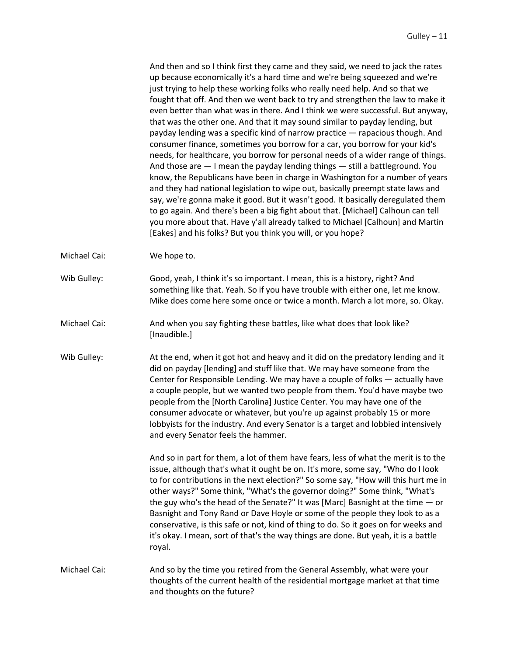And then and so I think first they came and they said, we need to jack the rates up because economically it's a hard time and we're being squeezed and we're just trying to help these working folks who really need help. And so that we fought that off. And then we went back to try and strengthen the law to make it even better than what was in there. And I think we were successful. But anyway, that was the other one. And that it may sound similar to payday lending, but payday lending was a specific kind of narrow practice — rapacious though. And consumer finance, sometimes you borrow for a car, you borrow for your kid's needs, for healthcare, you borrow for personal needs of a wider range of things. And those are — I mean the payday lending things — still a battleground. You know, the Republicans have been in charge in Washington for a number of years and they had national legislation to wipe out, basically preempt state laws and say, we're gonna make it good. But it wasn't good. It basically deregulated them to go again. And there's been a big fight about that. [Michael] Calhoun can tell you more about that. Have y'all already talked to Michael [Calhoun] and Martin [Eakes] and his folks? But you think you will, or you hope?

Michael Cai: We hope to.

Wib Gulley: Good, yeah, I think it's so important. I mean, this is a history, right? And something like that. Yeah. So if you have trouble with either one, let me know. Mike does come here some once or twice a month. March a lot more, so. Okay.

- Michael Cai: And when you say fighting these battles, like what does that look like? [Inaudible.]
- Wib Gulley: At the end, when it got hot and heavy and it did on the predatory lending and it did on payday [lending] and stuff like that. We may have someone from the Center for Responsible Lending. We may have a couple of folks — actually have a couple people, but we wanted two people from them. You'd have maybe two people from the [North Carolina] Justice Center. You may have one of the consumer advocate or whatever, but you're up against probably 15 or more lobbyists for the industry. And every Senator is a target and lobbied intensively and every Senator feels the hammer.

And so in part for them, a lot of them have fears, less of what the merit is to the issue, although that's what it ought be on. It's more, some say, "Who do I look to for contributions in the next election?" So some say, "How will this hurt me in other ways?" Some think, "What's the governor doing?" Some think, "What's the guy who's the head of the Senate?" It was [Marc] Basnight at the time — or Basnight and Tony Rand or Dave Hoyle or some of the people they look to as a conservative, is this safe or not, kind of thing to do. So it goes on for weeks and it's okay. I mean, sort of that's the way things are done. But yeah, it is a battle royal.

Michael Cai: And so by the time you retired from the General Assembly, what were your thoughts of the current health of the residential mortgage market at that time and thoughts on the future?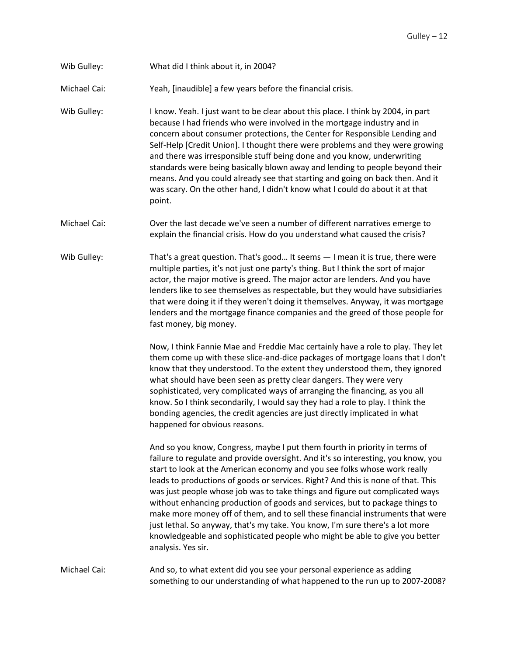Wib Gulley: What did I think about it, in 2004?

Michael Cai: Yeah, [inaudible] a few years before the financial crisis.

Wib Gulley: I know. Yeah. I just want to be clear about this place. I think by 2004, in part because I had friends who were involved in the mortgage industry and in concern about consumer protections, the Center for Responsible Lending and Self-Help [Credit Union]. I thought there were problems and they were growing and there was irresponsible stuff being done and you know, underwriting standards were being basically blown away and lending to people beyond their means. And you could already see that starting and going on back then. And it was scary. On the other hand, I didn't know what I could do about it at that point.

Michael Cai: Over the last decade we've seen a number of different narratives emerge to explain the financial crisis. How do you understand what caused the crisis?

Wib Gulley: That's a great question. That's good... It seems  $-1$  mean it is true, there were multiple parties, it's not just one party's thing. But I think the sort of major actor, the major motive is greed. The major actor are lenders. And you have lenders like to see themselves as respectable, but they would have subsidiaries that were doing it if they weren't doing it themselves. Anyway, it was mortgage lenders and the mortgage finance companies and the greed of those people for fast money, big money.

> Now, I think Fannie Mae and Freddie Mac certainly have a role to play. They let them come up with these slice-and-dice packages of mortgage loans that I don't know that they understood. To the extent they understood them, they ignored what should have been seen as pretty clear dangers. They were very sophisticated, very complicated ways of arranging the financing, as you all know. So I think secondarily, I would say they had a role to play. I think the bonding agencies, the credit agencies are just directly implicated in what happened for obvious reasons.

> And so you know, Congress, maybe I put them fourth in priority in terms of failure to regulate and provide oversight. And it's so interesting, you know, you start to look at the American economy and you see folks whose work really leads to productions of goods or services. Right? And this is none of that. This was just people whose job was to take things and figure out complicated ways without enhancing production of goods and services, but to package things to make more money off of them, and to sell these financial instruments that were just lethal. So anyway, that's my take. You know, I'm sure there's a lot more knowledgeable and sophisticated people who might be able to give you better analysis. Yes sir.

Michael Cai: And so, to what extent did you see your personal experience as adding something to our understanding of what happened to the run up to 2007-2008?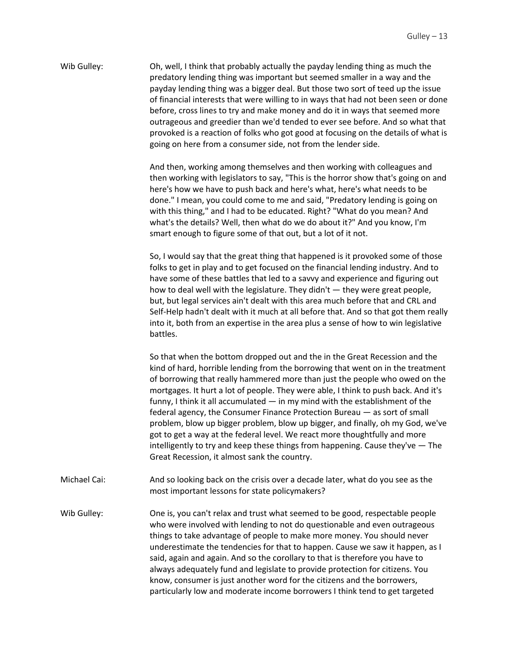Wib Gulley: Oh, well, I think that probably actually the payday lending thing as much the predatory lending thing was important but seemed smaller in a way and the payday lending thing was a bigger deal. But those two sort of teed up the issue of financial interests that were willing to in ways that had not been seen or done before, cross lines to try and make money and do it in ways that seemed more outrageous and greedier than we'd tended to ever see before. And so what that provoked is a reaction of folks who got good at focusing on the details of what is going on here from a consumer side, not from the lender side.

> And then, working among themselves and then working with colleagues and then working with legislators to say, "This is the horror show that's going on and here's how we have to push back and here's what, here's what needs to be done." I mean, you could come to me and said, "Predatory lending is going on with this thing," and I had to be educated. Right? "What do you mean? And what's the details? Well, then what do we do about it?" And you know, I'm smart enough to figure some of that out, but a lot of it not.

> So, I would say that the great thing that happened is it provoked some of those folks to get in play and to get focused on the financial lending industry. And to have some of these battles that led to a savvy and experience and figuring out how to deal well with the legislature. They didn't — they were great people, but, but legal services ain't dealt with this area much before that and CRL and Self-Help hadn't dealt with it much at all before that. And so that got them really into it, both from an expertise in the area plus a sense of how to win legislative battles.

> So that when the bottom dropped out and the in the Great Recession and the kind of hard, horrible lending from the borrowing that went on in the treatment of borrowing that really hammered more than just the people who owed on the mortgages. It hurt a lot of people. They were able, I think to push back. And it's funny, I think it all accumulated — in my mind with the establishment of the federal agency, the Consumer Finance Protection Bureau — as sort of small problem, blow up bigger problem, blow up bigger, and finally, oh my God, we've got to get a way at the federal level. We react more thoughtfully and more intelligently to try and keep these things from happening. Cause they've — The Great Recession, it almost sank the country.

Michael Cai: And so looking back on the crisis over a decade later, what do you see as the most important lessons for state policymakers?

Wib Gulley: One is, you can't relax and trust what seemed to be good, respectable people who were involved with lending to not do questionable and even outrageous things to take advantage of people to make more money. You should never underestimate the tendencies for that to happen. Cause we saw it happen, as I said, again and again. And so the corollary to that is therefore you have to always adequately fund and legislate to provide protection for citizens. You know, consumer is just another word for the citizens and the borrowers, particularly low and moderate income borrowers I think tend to get targeted